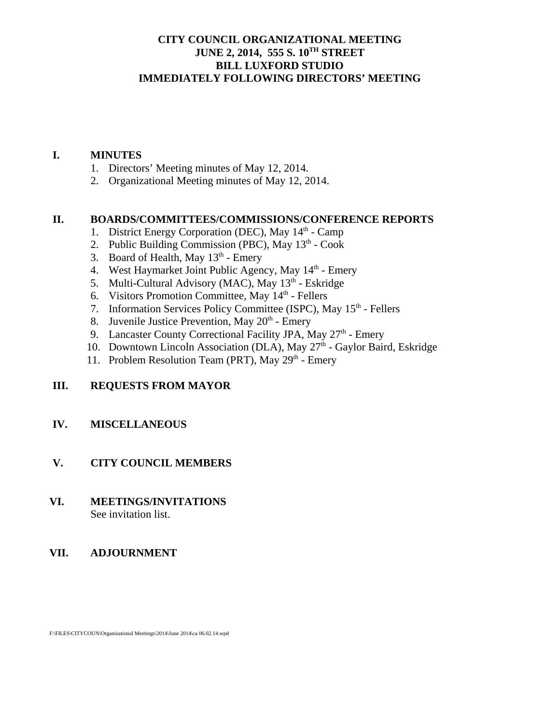### **CITY COUNCIL ORGANIZATIONAL MEETING JUNE 2, 2014, 555 S. 10TH STREET BILL LUXFORD STUDIO IMMEDIATELY FOLLOWING DIRECTORS' MEETING**

#### **I. MINUTES**

- 1. Directors' Meeting minutes of May 12, 2014.
- 2. Organizational Meeting minutes of May 12, 2014.

### **II. BOARDS/COMMITTEES/COMMISSIONS/CONFERENCE REPORTS**

- 1. District Energy Corporation (DEC), May  $14<sup>th</sup>$  Camp
- 2. Public Building Commission (PBC), May  $13<sup>th</sup>$  Cook
- 3. Board of Health, May  $13<sup>th</sup>$  Emery
- 4. West Haymarket Joint Public Agency, May  $14<sup>th</sup>$  Emery
- 5. Multi-Cultural Advisory (MAC), May 13<sup>th</sup> Eskridge
- 6. Visitors Promotion Committee, May 14<sup>th</sup> Fellers
- 7. Information Services Policy Committee (ISPC), May 15<sup>th</sup> Fellers
- 8. Juvenile Justice Prevention, May  $20<sup>th</sup>$  Emery
- 9. Lancaster County Correctional Facility JPA, May 27<sup>th</sup> Emery
- 10. Downtown Lincoln Association (DLA), May  $27<sup>th</sup>$  Gaylor Baird, Eskridge
- 11. Problem Resolution Team (PRT), May  $29<sup>th</sup>$  Emery

### **III. REQUESTS FROM MAYOR**

#### **IV. MISCELLANEOUS**

### **V. CITY COUNCIL MEMBERS**

#### **VI. MEETINGS/INVITATIONS** See invitation list.

### **VII. ADJOURNMENT**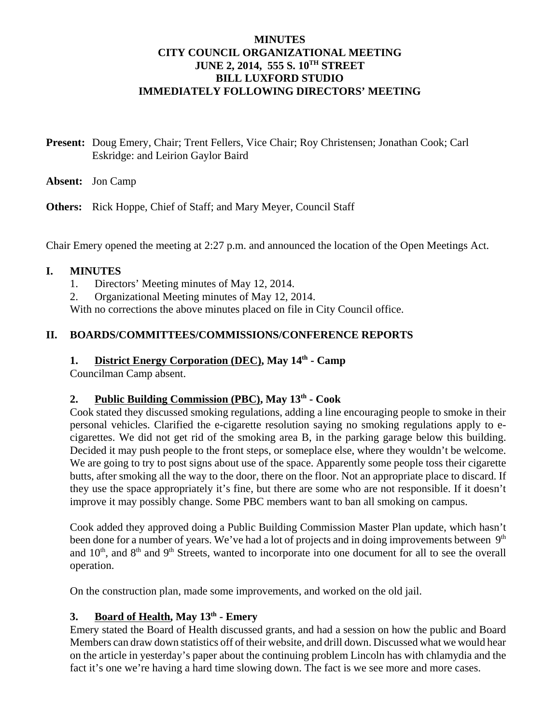#### **MINUTES CITY COUNCIL ORGANIZATIONAL MEETING JUNE 2, 2014, 555 S. 10TH STREET BILL LUXFORD STUDIO IMMEDIATELY FOLLOWING DIRECTORS' MEETING**

**Present:** Doug Emery, Chair; Trent Fellers, Vice Chair; Roy Christensen; Jonathan Cook; Carl Eskridge: and Leirion Gaylor Baird

**Absent:** Jon Camp

**Others:** Rick Hoppe, Chief of Staff; and Mary Meyer, Council Staff

Chair Emery opened the meeting at 2:27 p.m. and announced the location of the Open Meetings Act.

### **I. MINUTES**

- 1. Directors' Meeting minutes of May 12, 2014.
- 2. Organizational Meeting minutes of May 12, 2014.

With no corrections the above minutes placed on file in City Council office.

### **II. BOARDS/COMMITTEES/COMMISSIONS/CONFERENCE REPORTS**

# **1.** District Energy Corporation (DEC), May  $14<sup>th</sup>$  - Camp

Councilman Camp absent.

### **2. Public Building Commission (PBC), May 13th - Cook**

Cook stated they discussed smoking regulations, adding a line encouraging people to smoke in their personal vehicles. Clarified the e-cigarette resolution saying no smoking regulations apply to ecigarettes. We did not get rid of the smoking area B, in the parking garage below this building. Decided it may push people to the front steps, or someplace else, where they wouldn't be welcome. We are going to try to post signs about use of the space. Apparently some people toss their cigarette butts, after smoking all the way to the door, there on the floor. Not an appropriate place to discard. If they use the space appropriately it's fine, but there are some who are not responsible. If it doesn't improve it may possibly change. Some PBC members want to ban all smoking on campus.

Cook added they approved doing a Public Building Commission Master Plan update, which hasn't been done for a number of years. We've had a lot of projects and in doing improvements between 9<sup>th</sup> and 10<sup>th</sup>, and 8<sup>th</sup> and 9<sup>th</sup> Streets, wanted to incorporate into one document for all to see the overall operation.

On the construction plan, made some improvements, and worked on the old jail.

### **3.** Board of Health, May  $13<sup>th</sup>$  - Emery

Emery stated the Board of Health discussed grants, and had a session on how the public and Board Members can draw down statistics off of their website, and drill down. Discussed what we would hear on the article in yesterday's paper about the continuing problem Lincoln has with chlamydia and the fact it's one we're having a hard time slowing down. The fact is we see more and more cases.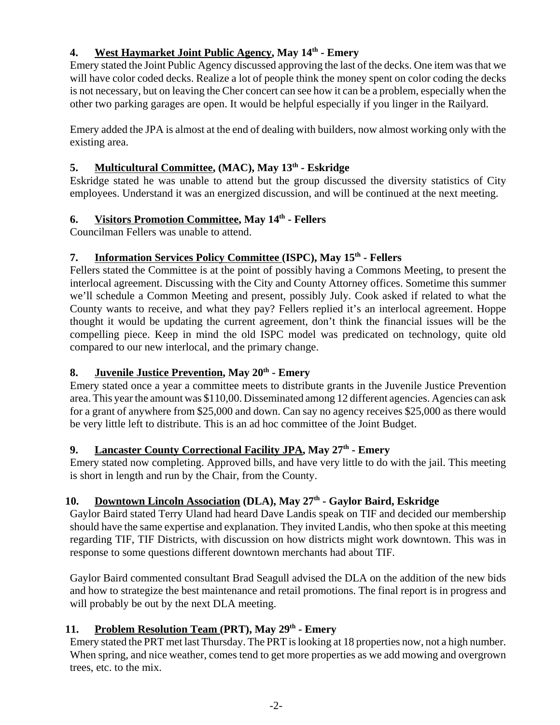### **4. West Haymarket Joint Public Agency, May 14th - Emery**

Emery stated the Joint Public Agency discussed approving the last of the decks. One item was that we will have color coded decks. Realize a lot of people think the money spent on color coding the decks is not necessary, but on leaving the Cher concert can see how it can be a problem, especially when the other two parking garages are open. It would be helpful especially if you linger in the Railyard.

Emery added the JPA is almost at the end of dealing with builders, now almost working only with the existing area.

### **5. Multicultural Committee, (MAC), May 13th - Eskridge**

Eskridge stated he was unable to attend but the group discussed the diversity statistics of City employees. Understand it was an energized discussion, and will be continued at the next meeting.

# **6.** Visitors Promotion Committee, May  $14^{\text{th}}$  - Fellers

Councilman Fellers was unable to attend.

### **7. Information Services Policy Committee (ISPC), May 15th - Fellers**

Fellers stated the Committee is at the point of possibly having a Commons Meeting, to present the interlocal agreement. Discussing with the City and County Attorney offices. Sometime this summer we'll schedule a Common Meeting and present, possibly July. Cook asked if related to what the County wants to receive, and what they pay? Fellers replied it's an interlocal agreement. Hoppe thought it would be updating the current agreement, don't think the financial issues will be the compelling piece. Keep in mind the old ISPC model was predicated on technology, quite old compared to our new interlocal, and the primary change.

# **8.** Juvenile Justice Prevention, May 20<sup>th</sup> - Emery

Emery stated once a year a committee meets to distribute grants in the Juvenile Justice Prevention area. This year the amount was \$110,00. Disseminated among 12 different agencies. Agencies can ask for a grant of anywhere from \$25,000 and down. Can say no agency receives \$25,000 as there would be very little left to distribute. This is an ad hoc committee of the Joint Budget.

# **9.** Lancaster County Correctional Facility JPA, May 27<sup>th</sup> - Emery

Emery stated now completing. Approved bills, and have very little to do with the jail. This meeting is short in length and run by the Chair, from the County.

# **10. Downtown Lincoln Association (DLA), May 27th - Gaylor Baird, Eskridge**

Gaylor Baird stated Terry Uland had heard Dave Landis speak on TIF and decided our membership should have the same expertise and explanation. They invited Landis, who then spoke at this meeting regarding TIF, TIF Districts, with discussion on how districts might work downtown. This was in response to some questions different downtown merchants had about TIF.

Gaylor Baird commented consultant Brad Seagull advised the DLA on the addition of the new bids and how to strategize the best maintenance and retail promotions. The final report is in progress and will probably be out by the next DLA meeting.

# 11. Problem Resolution Team (PRT), May 29<sup>th</sup> - Emery

Emery stated the PRT met last Thursday. The PRT is looking at 18 properties now, not a high number. When spring, and nice weather, comes tend to get more properties as we add mowing and overgrown trees, etc. to the mix.